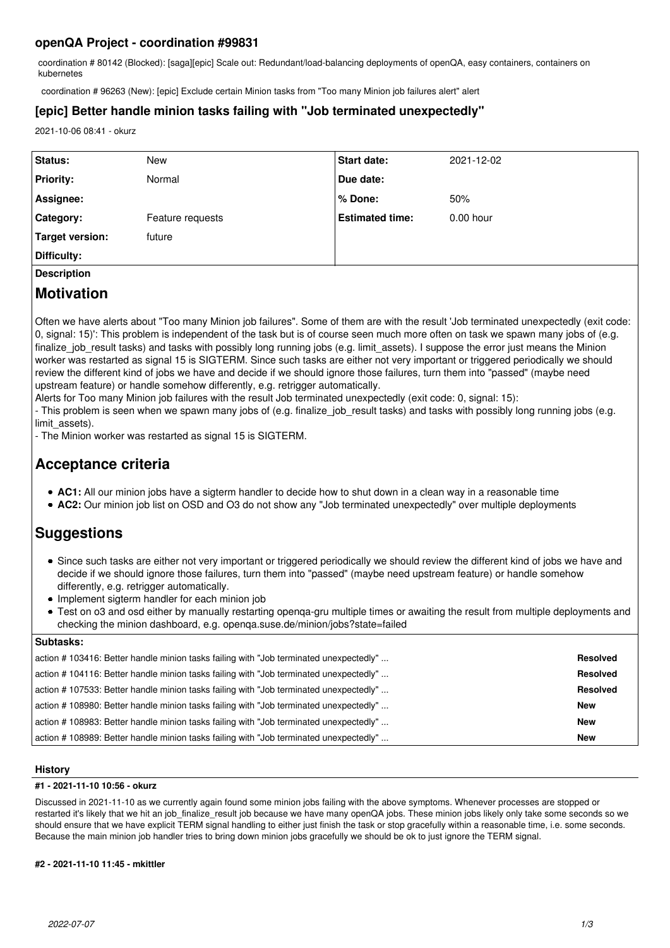# **openQA Project - coordination #99831**

coordination # 80142 (Blocked): [saga][epic] Scale out: Redundant/load-balancing deployments of openQA, easy containers, containers on kubernetes

coordination # 96263 (New): [epic] Exclude certain Minion tasks from "Too many Minion job failures alert" alert

# **[epic] Better handle minion tasks failing with "Job terminated unexpectedly"**

2021-10-06 08:41 - okurz

| <b>Status:</b>     | New              | <b>Start date:</b>     | 2021-12-02  |  |
|--------------------|------------------|------------------------|-------------|--|
| <b>Priority:</b>   | Normal           | Due date:              |             |  |
| Assignee:          |                  | ∣% Done:               | 50%         |  |
| <b>Category:</b>   | Feature requests | <b>Estimated time:</b> | $0.00$ hour |  |
| Target version:    | future           |                        |             |  |
| Difficulty:        |                  |                        |             |  |
| <b>Description</b> |                  |                        |             |  |

# **Motivation**

Often we have alerts about "Too many Minion job failures". Some of them are with the result 'Job terminated unexpectedly (exit code: 0, signal: 15)': This problem is independent of the task but is of course seen much more often on task we spawn many jobs of (e.g. finalize job result tasks) and tasks with possibly long running jobs (e.g. limit assets). I suppose the error just means the Minion worker was restarted as signal 15 is SIGTERM. Since such tasks are either not very important or triggered periodically we should review the different kind of jobs we have and decide if we should ignore those failures, turn them into "passed" (maybe need upstream feature) or handle somehow differently, e.g. retrigger automatically.

Alerts for Too many Minion job failures with the result Job terminated unexpectedly (exit code: 0, signal: 15):

- This problem is seen when we spawn many jobs of (e.g. finalize\_job\_result tasks) and tasks with possibly long running jobs (e.g. limit\_assets).

- The Minion worker was restarted as signal 15 is SIGTERM.

# **Acceptance criteria**

- **AC1:** All our minion jobs have a sigterm handler to decide how to shut down in a clean way in a reasonable time
- **AC2:** Our minion job list on OSD and O3 do not show any "Job terminated unexpectedly" over multiple deployments

# **Suggestions**

- Since such tasks are either not very important or triggered periodically we should review the different kind of jobs we have and decide if we should ignore those failures, turn them into "passed" (maybe need upstream feature) or handle somehow differently, e.g. retrigger automatically.
- Implement sigterm handler for each minion job
- Test on o3 and osd either by manually restarting openqa-gru multiple times or awaiting the result from multiple deployments and checking the minion dashboard, e.g. openqa.suse.de/minion/jobs?state=failed

# **Subtasks:**

| Suplasks.                                                                             |                 |
|---------------------------------------------------------------------------------------|-----------------|
| action #103416: Better handle minion tasks failing with "Job terminated unexpectedly" | <b>Resolved</b> |
| action #104116: Better handle minion tasks failing with "Job terminated unexpectedly" | <b>Resolved</b> |
| action #107533: Better handle minion tasks failing with "Job terminated unexpectedly" | <b>Resolved</b> |
| action #108980: Better handle minion tasks failing with "Job terminated unexpectedly" | <b>New</b>      |
| action #108983: Better handle minion tasks failing with "Job terminated unexpectedly" | <b>New</b>      |
| action #108989: Better handle minion tasks failing with "Job terminated unexpectedly" | <b>New</b>      |

# **History**

# **#1 - 2021-11-10 10:56 - okurz**

Discussed in 2021-11-10 as we currently again found some minion jobs failing with the above symptoms. Whenever processes are stopped or restarted it's likely that we hit an job\_finalize\_result job because we have many openQA jobs. These minion jobs likely only take some seconds so we should ensure that we have explicit TERM signal handling to either just finish the task or stop gracefully within a reasonable time, i.e. some seconds. Because the main minion job handler tries to bring down minion jobs gracefully we should be ok to just ignore the TERM signal.

# **#2 - 2021-11-10 11:45 - mkittler**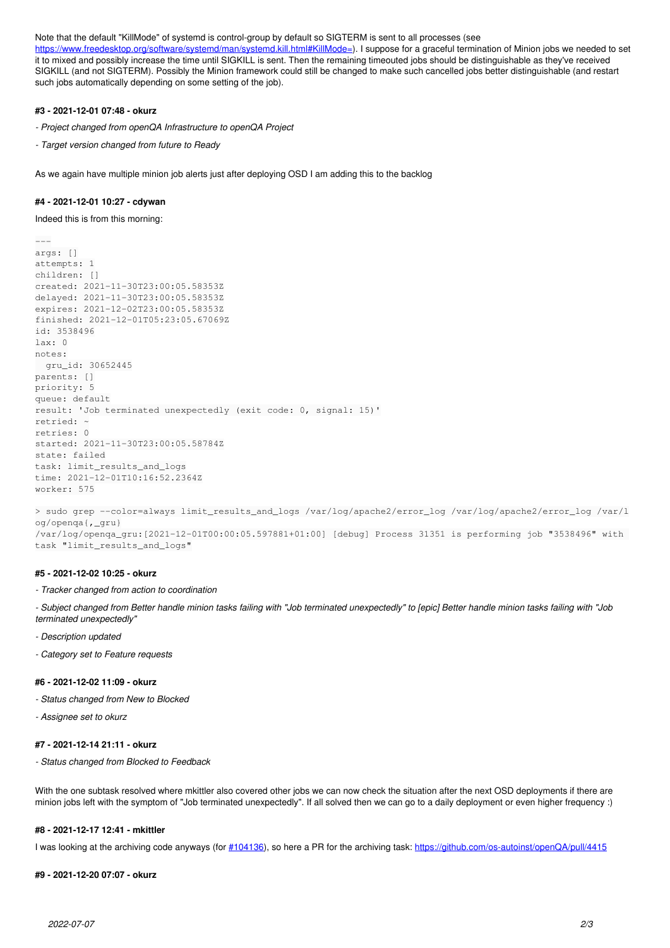#### Note that the default "KillMode" of systemd is control-group by default so SIGTERM is sent to all processes (see

<https://www.freedesktop.org/software/systemd/man/systemd.kill.html#KillMode=>). I suppose for a graceful termination of Minion jobs we needed to set it to mixed and possibly increase the time until SIGKILL is sent. Then the remaining timeouted jobs should be distinguishable as they've received SIGKILL (and not SIGTERM). Possibly the Minion framework could still be changed to make such cancelled jobs better distinguishable (and restart such jobs automatically depending on some setting of the job).

#### **#3 - 2021-12-01 07:48 - okurz**

- *Project changed from openQA Infrastructure to openQA Project*
- *Target version changed from future to Ready*

As we again have multiple minion job alerts just after deploying OSD I am adding this to the backlog

#### **#4 - 2021-12-01 10:27 - cdywan**

Indeed this is from this morning:

```
---
args: []
attempts: 1
children: []
created: 2021-11-30T23:00:05.58353Z
delayed: 2021-11-30T23:00:05.58353Z
expires: 2021-12-02T23:00:05.58353Z
finished: 2021-12-01T05:23:05.67069Z
id: 3538496
lax: 0notes:
   gru_id: 30652445
parents: []
priority: 5
queue: default
result: 'Job terminated unexpectedly (exit code: 0, signal: 15)'
retried: ~
retries: 0
started: 2021-11-30T23:00:05.58784Z
state: failed
task: limit_results_and_logs
time: 2021-12-01T10:16:52.2364Z
worker: 575
```
> sudo grep --color=always limit\_results\_and\_logs /var/log/apache2/error\_log /var/log/apache2/error\_log /var/l og/openqa{,\_gru} /var/log/openqa\_gru:[2021-12-01T00:00:05.597881+01:00] [debug] Process 31351 is performing job "3538496" with task "limit results and logs"

#### **#5 - 2021-12-02 10:25 - okurz**

#### *- Tracker changed from action to coordination*

*- Subject changed from Better handle minion tasks failing with "Job terminated unexpectedly" to [epic] Better handle minion tasks failing with "Job terminated unexpectedly"*

- *Description updated*
- *Category set to Feature requests*

#### **#6 - 2021-12-02 11:09 - okurz**

- *Status changed from New to Blocked*
- *Assignee set to okurz*

# **#7 - 2021-12-14 21:11 - okurz**

*- Status changed from Blocked to Feedback*

With the one subtask resolved where mkittler also covered other jobs we can now check the situation after the next OSD deployments if there are minion jobs left with the symptom of "Job terminated unexpectedly". If all solved then we can go to a daily deployment or even higher frequency :)

#### **#8 - 2021-12-17 12:41 - mkittler**

I was looking at the archiving code anyways (for [#104136](https://progress.opensuse.org/issues/104136)), so here a PR for the archiving task: <https://github.com/os-autoinst/openQA/pull/4415>

#### **#9 - 2021-12-20 07:07 - okurz**